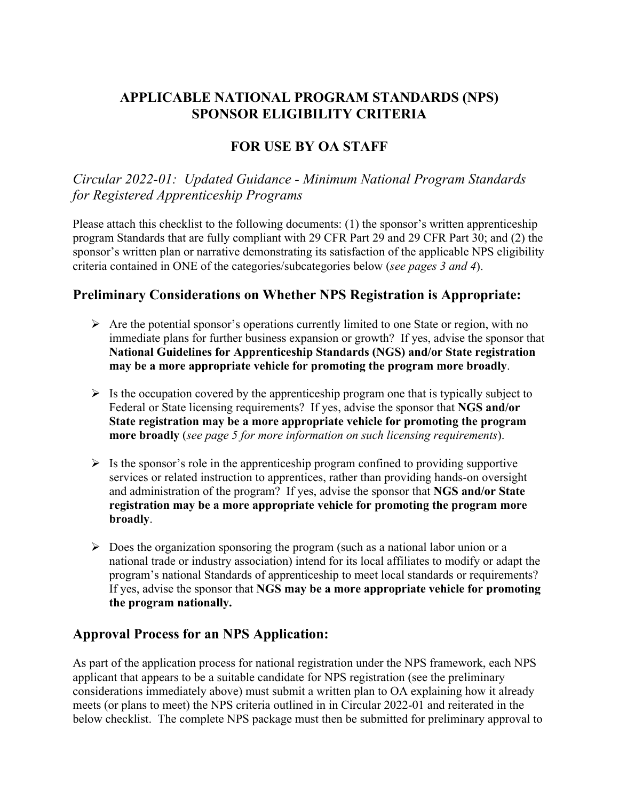#### **APPLICABLE NATIONAL PROGRAM STANDARDS (NPS) SPONSOR ELIGIBILITY CRITERIA**

#### **FOR USE BY OA STAFF**

*Circular 2022-01: Updated Guidance - Minimum National Program Standards for Registered Apprenticeship Programs*

Please attach this checklist to the following documents: (1) the sponsor's written apprenticeship program Standards that are fully compliant with 29 CFR Part 29 and 29 CFR Part 30; and (2) the sponsor's written plan or narrative demonstrating its satisfaction of the applicable NPS eligibility criteria contained in ONE of the categories/subcategories below (*see pages 3 and 4*).

#### **Preliminary Considerations on Whether NPS Registration is Appropriate:**

- $\triangleright$  Are the potential sponsor's operations currently limited to one State or region, with no immediate plans for further business expansion or growth? If yes, advise the sponsor that **National Guidelines for Apprenticeship Standards (NGS) and/or State registration may be a more appropriate vehicle for promoting the program more broadly**.
- $\triangleright$  Is the occupation covered by the apprenticeship program one that is typically subject to Federal or State licensing requirements? If yes, advise the sponsor that **NGS and/or State registration may be a more appropriate vehicle for promoting the program more broadly** (*see page 5 for more information on such licensing requirements*).
- $\triangleright$  Is the sponsor's role in the apprenticeship program confined to providing supportive services or related instruction to apprentices, rather than providing hands-on oversight and administration of the program? If yes, advise the sponsor that **NGS and/or State registration may be a more appropriate vehicle for promoting the program more broadly**.
- $\triangleright$  Does the organization sponsoring the program (such as a national labor union or a national trade or industry association) intend for its local affiliates to modify or adapt the program's national Standards of apprenticeship to meet local standards or requirements? If yes, advise the sponsor that **NGS may be a more appropriate vehicle for promoting the program nationally.**

#### **Approval Process for an NPS Application:**

As part of the application process for national registration under the NPS framework, each NPS applicant that appears to be a suitable candidate for NPS registration (see the preliminary considerations immediately above) must submit a written plan to OA explaining how it already meets (or plans to meet) the NPS criteria outlined in in Circular 2022-01 and reiterated in the below checklist. The complete NPS package must then be submitted for preliminary approval to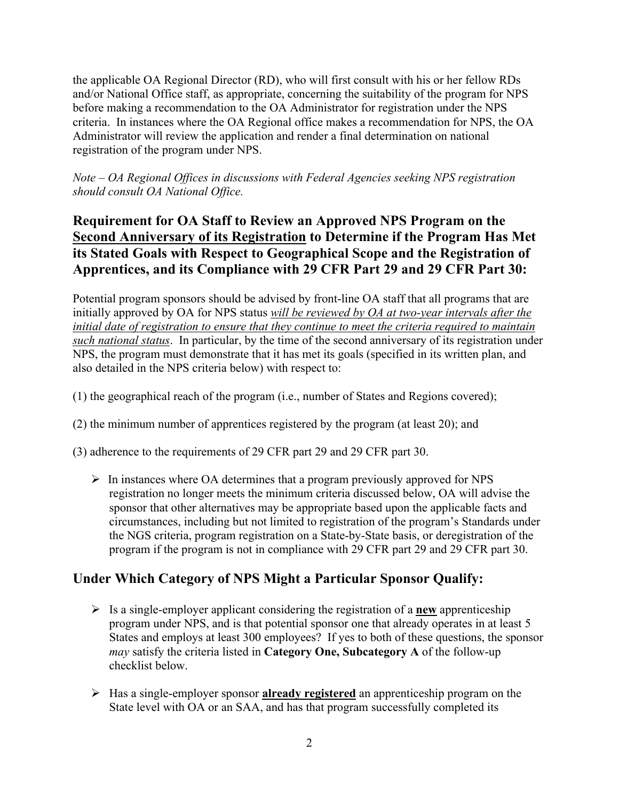the applicable OA Regional Director (RD), who will first consult with his or her fellow RDs and/or National Office staff, as appropriate, concerning the suitability of the program for NPS before making a recommendation to the OA Administrator for registration under the NPS criteria. In instances where the OA Regional office makes a recommendation for NPS, the OA Administrator will review the application and render a final determination on national registration of the program under NPS.

*Note – OA Regional Offices in discussions with Federal Agencies seeking NPS registration should consult OA National Office.*

# **Requirement for OA Staff to Review an Approved NPS Program on the Second Anniversary of its Registration to Determine if the Program Has Met its Stated Goals with Respect to Geographical Scope and the Registration of Apprentices, and its Compliance with 29 CFR Part 29 and 29 CFR Part 30:**

Potential program sponsors should be advised by front-line OA staff that all programs that are initially approved by OA for NPS status *will be reviewed by OA at two-year intervals after the initial date of registration to ensure that they continue to meet the criteria required to maintain such national status*. In particular, by the time of the second anniversary of its registration under NPS, the program must demonstrate that it has met its goals (specified in its written plan, and also detailed in the NPS criteria below) with respect to:

- (1) the geographical reach of the program (i.e., number of States and Regions covered);
- (2) the minimum number of apprentices registered by the program (at least 20); and
- (3) adherence to the requirements of 29 CFR part 29 and 29 CFR part 30.
	- $\triangleright$  In instances where OA determines that a program previously approved for NPS registration no longer meets the minimum criteria discussed below, OA will advise the sponsor that other alternatives may be appropriate based upon the applicable facts and circumstances, including but not limited to registration of the program's Standards under the NGS criteria, program registration on a State-by-State basis, or deregistration of the program if the program is not in compliance with 29 CFR part 29 and 29 CFR part 30.

# **Under Which Category of NPS Might a Particular Sponsor Qualify:**

- $\triangleright$  Is a single-employer applicant considering the registration of a **new** apprenticeship program under NPS, and is that potential sponsor one that already operates in at least 5 States and employs at least 300 employees? If yes to both of these questions, the sponsor *may* satisfy the criteria listed in **Category One, Subcategory A** of the follow-up checklist below.
- Has a single-employer sponsor **already registered** an apprenticeship program on the State level with OA or an SAA, and has that program successfully completed its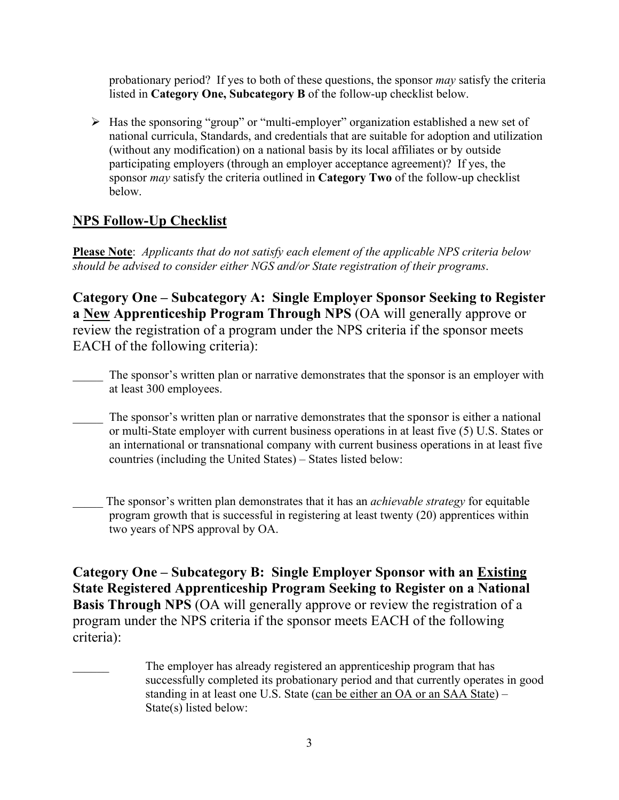probationary period? If yes to both of these questions, the sponsor *may* satisfy the criteria listed in **Category One, Subcategory B** of the follow-up checklist below.

 Has the sponsoring "group" or "multi-employer" organization established a new set of national curricula, Standards, and credentials that are suitable for adoption and utilization (without any modification) on a national basis by its local affiliates or by outside participating employers (through an employer acceptance agreement)? If yes, the sponsor *may* satisfy the criteria outlined in **Category Two** of the follow-up checklist below.

# **NPS Follow-Up Checklist**

**Please Note**: *Applicants that do not satisfy each element of the applicable NPS criteria below should be advised to consider either NGS and/or State registration of their programs*.

**Category One – Subcategory A: Single Employer Sponsor Seeking to Register a New Apprenticeship Program Through NPS** (OA will generally approve or review the registration of a program under the NPS criteria if the sponsor meets EACH of the following criteria):

- The sponsor's written plan or narrative demonstrates that the sponsor is an employer with at least 300 employees.
- \_\_\_\_\_ The sponsor's written plan or narrative demonstrates that the sponsor is either a national or multi-State employer with current business operations in at least five (5) U.S. States or an international or transnational company with current business operations in at least five countries (including the United States) – States listed below:
- \_\_\_\_\_ The sponsor's written plan demonstrates that it has an *achievable strategy* for equitable program growth that is successful in registering at least twenty (20) apprentices within two years of NPS approval by OA.

**Category One – Subcategory B: Single Employer Sponsor with an Existing State Registered Apprenticeship Program Seeking to Register on a National Basis Through NPS** (OA will generally approve or review the registration of a program under the NPS criteria if the sponsor meets EACH of the following criteria):

The employer has already registered an apprenticeship program that has successfully completed its probationary period and that currently operates in good standing in at least one U.S. State (can be either an OA or an SAA State) – State(s) listed below: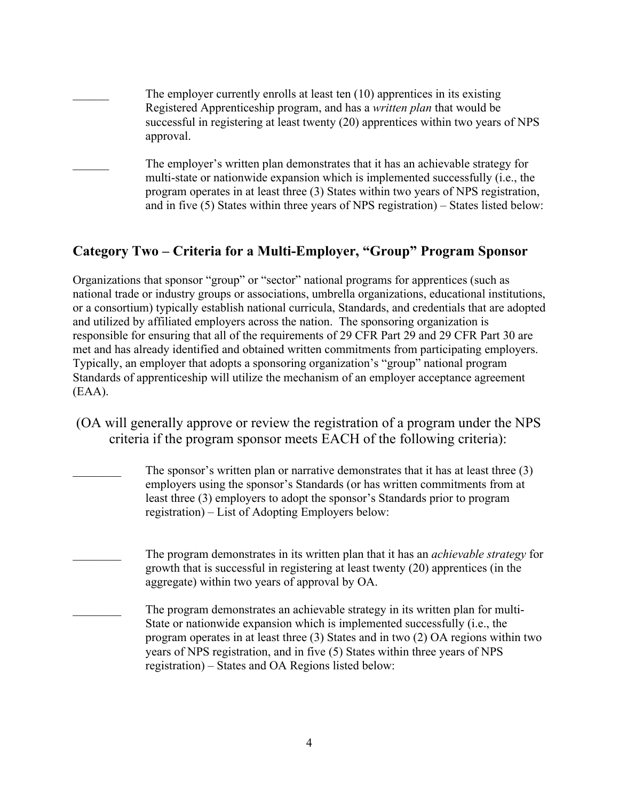The employer currently enrolls at least ten  $(10)$  apprentices in its existing Registered Apprenticeship program, and has a *written plan* that would be successful in registering at least twenty (20) apprentices within two years of NPS approval. The employer's written plan demonstrates that it has an achievable strategy for multi-state or nationwide expansion which is implemented successfully (i.e., the program operates in at least three (3) States within two years of NPS registration, and in five (5) States within three years of NPS registration) – States listed below:

# **Category Two – Criteria for a Multi-Employer, "Group" Program Sponsor**

Organizations that sponsor "group" or "sector" national programs for apprentices (such as national trade or industry groups or associations, umbrella organizations, educational institutions, or a consortium) typically establish national curricula, Standards, and credentials that are adopted and utilized by affiliated employers across the nation. The sponsoring organization is responsible for ensuring that all of the requirements of 29 CFR Part 29 and 29 CFR Part 30 are met and has already identified and obtained written commitments from participating employers. Typically, an employer that adopts a sponsoring organization's "group" national program Standards of apprenticeship will utilize the mechanism of an employer acceptance agreement (EAA).

- (OA will generally approve or review the registration of a program under the NPS criteria if the program sponsor meets EACH of the following criteria):
	- The sponsor's written plan or narrative demonstrates that it has at least three  $(3)$ employers using the sponsor's Standards (or has written commitments from at least three (3) employers to adopt the sponsor's Standards prior to program registration) – List of Adopting Employers below:
	- \_\_\_\_\_\_\_\_ The program demonstrates in its written plan that it has an *achievable strategy* for growth that is successful in registering at least twenty (20) apprentices (in the aggregate) within two years of approval by OA.
	- The program demonstrates an achievable strategy in its written plan for multi-State or nationwide expansion which is implemented successfully (i.e., the program operates in at least three (3) States and in two (2) OA regions within two years of NPS registration, and in five (5) States within three years of NPS registration) – States and OA Regions listed below: